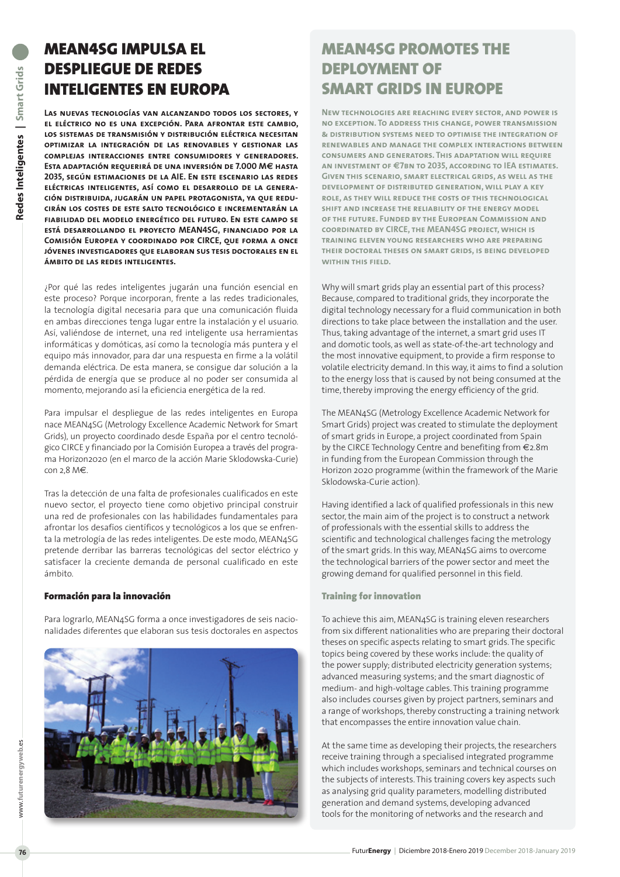## MEAN4SG IMPULSA EL DESPLIEGUE DE REDES INTELIGENTES EN EUROPA

**Las nuevas tecnologías van alcanzando todos los sectores, y el eléctrico no es una excepción. Para afrontar este cambio, los sistemas de transmisión y distribución eléctrica necesitan optimizar la integración de las renovables y gestionar las complejas interacciones entre consumidores y generadores. Esta adaptación requerirá de una inversión de 7.000 M€ hasta 2035, según estimaciones de la AIE. En este escenario las redes eléctricas inteligentes, así como el desarrollo de la generación distribuida, jugarán un papel protagonista, ya que reducirán los costes de este salto tecnológico e incrementarán la fiabilidad del modelo energético del futuro. En este campo se está desarrollando el proyecto MEAN4SG, financiado por la Comisión Europea y coordinado por CIRCE, que forma a once jóvenes investigadores que elaboran sus tesis doctorales en el ámbito de las redes inteligentes.**

¿Por qué las redes inteligentes jugarán una función esencial en este proceso? Porque incorporan, frente a las redes tradicionales, la tecnología digital necesaria para que una comunicación fluida en ambas direcciones tenga lugar entre la instalación y el usuario. Así, valiéndose de internet, una red inteligente usa herramientas informáticas y domóticas, así como la tecnología más puntera y el equipo más innovador, para dar una respuesta en firme a la volátil demanda eléctrica. De esta manera, se consigue dar solución a la pérdida de energía que se produce al no poder ser consumida al momento, mejorando así la eficiencia energética de la red.

Para impulsar el despliegue de las redes inteligentes en Europa nace MEAN4SG (Metrology Excellence Academic Network for Smart Grids), un proyecto coordinado desde España por el centro tecnológico CIRCE y financiado por la Comisión Europea a través del programa Horizon2020 (en el marco de la acción Marie Sklodowska-Curie) con 2,8 M€.

Tras la detección de una falta de profesionales cualificados en este nuevo sector, el proyecto tiene como objetivo principal construir una red de profesionales con las habilidades fundamentales para afrontar los desafíos científicos y tecnológicos a los que se enfrenta la metrología de las redes inteligentes. De este modo, MEAN4SG pretende derribar las barreras tecnológicas del sector eléctrico y satisfacer la creciente demanda de personal cualificado en este ámbito.

#### Formación para la innovación

Para lograrlo, MEAN4SG forma a once investigadores de seis nacionalidades diferentes que elaboran sus tesis doctorales en aspectos



# MEAN4SG PROMOTES THE DEPLOYMENT OF SMART GRIDS IN EUROPE

**New technologies are reaching every sector, and power is no exception. To address this change, power transmission & distribution systems need to optimise the integration of renewables and manage the complex interactions between consumers and generators. This adaptation will require an investment of €7bn to 2035, according to IEA estimates. Given this scenario, smart electrical grids, as well as the development of distributed generation, will play a key role, as they will reduce the costs of this technological shift and increase the reliability of the energy model of the future. Funded by the European Commission and coordinated by CIRCE, the MEAN4SG project, which is training eleven young researchers who are preparing their doctoral theses on smart grids, is being developed within this field.** 

Why will smart grids play an essential part of this process? Because, compared to traditional grids, they incorporate the digital technology necessary for a fluid communication in both directions to take place between the installation and the user. Thus, taking advantage of the internet, a smart grid uses IT and domotic tools, as well as state-of-the-art technology and the most innovative equipment, to provide a firm response to volatile electricity demand. In this way, it aims to find a solution to the energy loss that is caused by not being consumed at the time, thereby improving the energy efficiency of the grid.

The MEAN4SG (Metrology Excellence Academic Network for Smart Grids) project was created to stimulate the deployment of smart grids in Europe, a project coordinated from Spain by the CIRCE Technology Centre and benefiting from €2.8m in funding from the European Commission through the Horizon 2020 programme (within the framework of the Marie Sklodowska-Curie action).

Having identified a lack of qualified professionals in this new sector, the main aim of the project is to construct a network of professionals with the essential skills to address the scientific and technological challenges facing the metrology of the smart grids. In this way, MEAN4SG aims to overcome the technological barriers of the power sector and meet the growing demand for qualified personnel in this field.

### Training for innovation

To achieve this aim, MEAN4SG is training eleven researchers from six different nationalities who are preparing their doctoral theses on specific aspects relating to smart grids. The specific topics being covered by these works include: the quality of the power supply; distributed electricity generation systems; advanced measuring systems; and the smart diagnostic of medium- and high-voltage cables. This training programme also includes courses given by project partners, seminars and a range of workshops, thereby constructing a training network that encompasses the entire innovation value chain.

At the same time as developing their projects, the researchers receive training through a specialised integrated programme which includes workshops, seminars and technical courses on the subjects of interests. This training covers key aspects such as analysing grid quality parameters, modelling distributed generation and demand systems, developing advanced tools for the monitoring of networks and the research and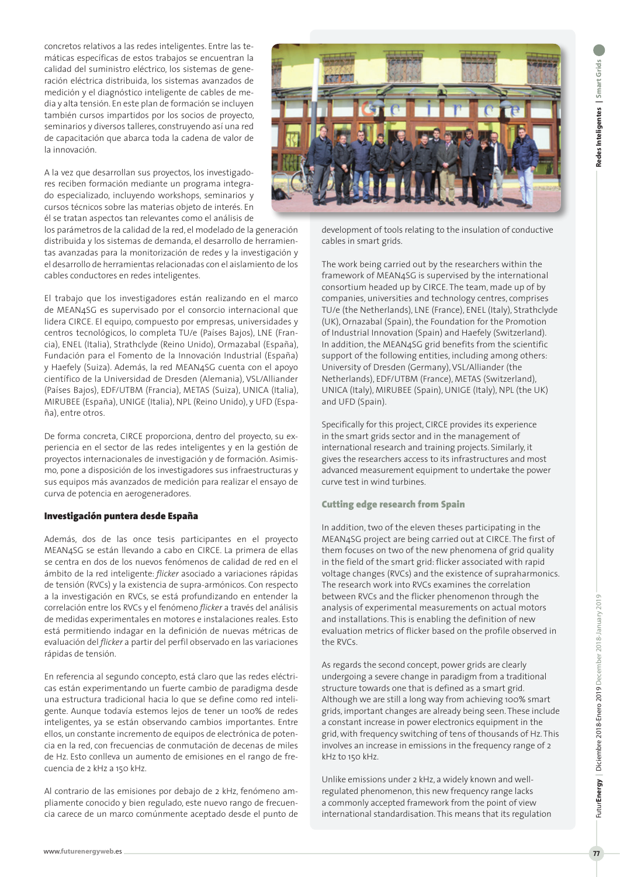concretos relativos a las redes inteligentes. Entre las temáticas específicas de estos trabajos se encuentran la calidad del suministro eléctrico, los sistemas de generación eléctrica distribuida, los sistemas avanzados de medición y el diagnóstico inteligente de cables de media y alta tensión. En este plan de formación se incluyen también cursos impartidos por los socios de proyecto, seminarios y diversos talleres, construyendo así una red de capacitación que abarca toda la cadena de valor de la innovación.

A la vez que desarrollan sus proyectos, los investigadores reciben formación mediante un programa integrado especializado, incluyendo workshops, seminarios y cursos técnicos sobre las materias objeto de interés. En él se tratan aspectos tan relevantes como el análisis de

los parámetros de la calidad de la red, el modelado de la generación distribuida y los sistemas de demanda, el desarrollo de herramientas avanzadas para la monitorización de redes y la investigación y el desarrollo de herramientas relacionadas con el aislamiento de los cables conductores en redes inteligentes.

El trabajo que los investigadores están realizando en el marco de MEAN4SG es supervisado por el consorcio internacional que lidera CIRCE. El equipo, compuesto por empresas, universidades y centros tecnológicos, lo completa TU/e (Países Bajos), LNE (Francia), ENEL (Italia), Strathclyde (Reino Unido), Ormazabal (España), Fundación para el Fomento de la Innovación Industrial (España) y Haefely (Suiza). Además, la red MEAN4SG cuenta con el apoyo científico de la Universidad de Dresden (Alemania), VSL/Alliander (Países Bajos), EDF/UTBM (Francia), METAS (Suiza), UNICA (Italia), MIRUBEE (España), UNIGE (Italia), NPL (Reino Unido), y UFD (España), entre otros.

De forma concreta, CIRCE proporciona, dentro del proyecto, su experiencia en el sector de las redes inteligentes y en la gestión de proyectos internacionales de investigación y de formación. Asimismo, pone a disposición de los investigadores sus infraestructuras y sus equipos más avanzados de medición para realizar el ensayo de curva de potencia en aerogeneradores.

### Investigación puntera desde España

Además, dos de las once tesis participantes en el proyecto MEAN4SG se están llevando a cabo en CIRCE. La primera de ellas se centra en dos de los nuevos fenómenos de calidad de red en el ámbito de la red inteligente: *flicker* asociado a variaciones rápidas de tensión (RVCs) y la existencia de supra-armónicos. Con respecto a la investigación en RVCs, se está profundizando en entender la correlación entre los RVCs y el fenómeno *flicker* a través del análisis de medidas experimentales en motores e instalaciones reales. Esto está permitiendo indagar en la definición de nuevas métricas de evaluación del *flicker* a partir del perfil observado en las variaciones rápidas de tensión.

En referencia al segundo concepto, está claro que las redes eléctricas están experimentando un fuerte cambio de paradigma desde una estructura tradicional hacia lo que se define como red inteligente. Aunque todavía estemos lejos de tener un 100% de redes inteligentes, ya se están observando cambios importantes. Entre ellos, un constante incremento de equipos de electrónica de potencia en la red, con frecuencias de conmutación de decenas de miles de Hz. Esto conlleva un aumento de emisiones en el rango de frecuencia de 2 kHz a 150 kHz.

Al contrario de las emisiones por debajo de 2 kHz, fenómeno ampliamente conocido y bien regulado, este nuevo rango de frecuencia carece de un marco comúnmente aceptado desde el punto de



development of tools relating to the insulation of conductive cables in smart grids.

The work being carried out by the researchers within the framework of MEAN4SG is supervised by the international consortium headed up by CIRCE. The team, made up of by companies, universities and technology centres, comprises TU/e (the Netherlands), LNE (France), ENEL (Italy), Strathclyde (UK), Ornazabal (Spain), the Foundation for the Promotion of Industrial Innovation (Spain) and Haefely (Switzerland). In addition, the MEAN4SG grid benefits from the scientific support of the following entities, including among others: University of Dresden (Germany), VSL/Alliander (the Netherlands), EDF/UTBM (France), METAS (Switzerland), UNICA (Italy), MIRUBEE (Spain), UNIGE (Italy), NPL (the UK) and UFD (Spain).

Specifically for this project, CIRCE provides its experience in the smart grids sector and in the management of international research and training projects. Similarly, it gives the researchers access to its infrastructures and most advanced measurement equipment to undertake the power curve test in wind turbines.

### Cutting edge research from Spain

In addition, two of the eleven theses participating in the MEAN4SG project are being carried out at CIRCE. The first of them focuses on two of the new phenomena of grid quality in the field of the smart grid: flicker associated with rapid voltage changes (RVCs) and the existence of supraharmonics. The research work into RVCs examines the correlation between RVCs and the flicker phenomenon through the analysis of experimental measurements on actual motors and installations. This is enabling the definition of new evaluation metrics of flicker based on the profile observed in the RVCs.

As regards the second concept, power grids are clearly undergoing a severe change in paradigm from a traditional structure towards one that is defined as a smart grid. Although we are still a long way from achieving 100% smart grids, important changes are already being seen. These include a constant increase in power electronics equipment in the grid, with frequency switching of tens of thousands of Hz. This involves an increase in emissions in the frequency range of 2 kHz to 150 kHz.

Unlike emissions under 2 kHz, a widely known and wellregulated phenomenon, this new frequency range lacks a commonly accepted framework from the point of view international standardisation. This means that its regulation